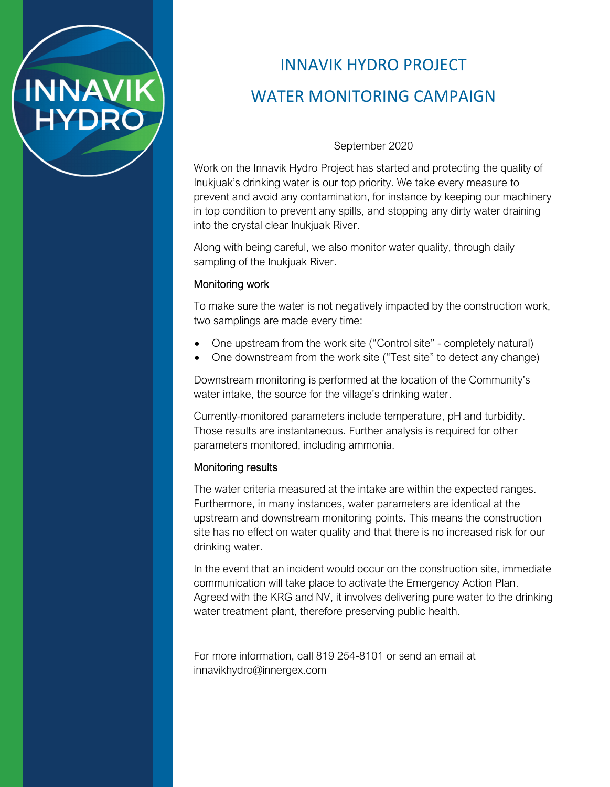

# INNAVIK HYDRO PROJECT WATER MONITORING CAMPAIGN

September 2020

Work on the Innavik Hydro Project has started and protecting the quality of Inukjuak's drinking water is our top priority. We take every measure to prevent and avoid any contamination, for instance by keeping our machinery in top condition to prevent any spills, and stopping any dirty water draining into the crystal clear Inukjuak River.

Along with being careful, we also monitor water quality, through daily sampling of the Inukjuak River.

### Monitoring work

To make sure the water is not negatively impacted by the construction work, two samplings are made every time:

- One upstream from the work site ("Control site" completely natural)
- One downstream from the work site ("Test site" to detect any change)

Downstream monitoring is performed at the location of the Community's water intake, the source for the village's drinking water.

Currently-monitored parameters include temperature, pH and turbidity. Those results are instantaneous. Further analysis is required for other parameters monitored, including ammonia.

#### Monitoring results

The water criteria measured at the intake are within the expected ranges. Furthermore, in many instances, water parameters are identical at the upstream and downstream monitoring points. This means the construction site has no effect on water quality and that there is no increased risk for our drinking water.

In the event that an incident would occur on the construction site, immediate communication will take place to activate the Emergency Action Plan. Agreed with the KRG and NV, it involves delivering pure water to the drinking water treatment plant, therefore preserving public health.

For more information, call 819 254-8101 or send an email at innavikhydro@innergex.com